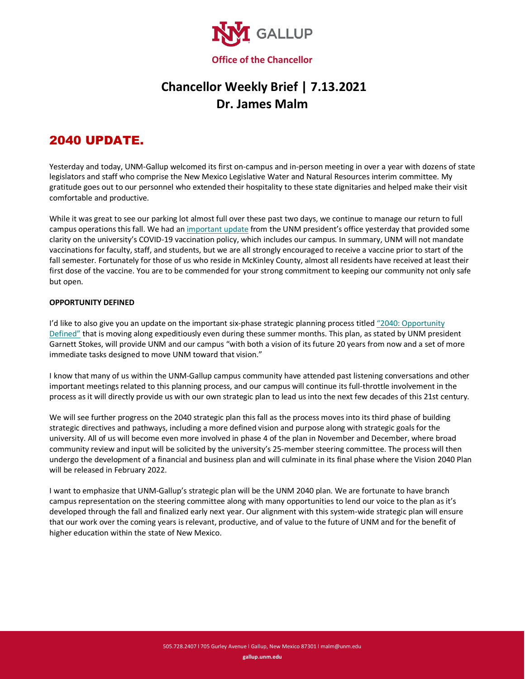

## **Chancellor Weekly Brief | 7.13.2021 Dr. James Malm**

## 2040 UPDATE.

Yesterday and today, UNM-Gallup welcomed its first on-campus and in-person meeting in over a year with dozens of state legislators and staff who comprise the New Mexico Legislative Water and Natural Resources interim committee. My gratitude goes out to our personnel who extended their hospitality to these state dignitaries and helped make their visit comfortable and productive.

While it was great to see our parking lot almost full over these past two days, we continue to manage our return to full campus operations this fall. We had a[n important update](http://president.unm.edu/documents/letters/2021/all-university-message---7-8-2021---unm-sets-aspirational-goal-for-100-vaccination.pdf) from the UNM president's office yesterday that provided some clarity on the university's COVID-19 vaccination policy, which includes our campus. In summary, UNM will not mandate vaccinations for faculty, staff, and students, but we are all strongly encouraged to receive a vaccine prior to start of the fall semester. Fortunately for those of us who reside in McKinley County, almost all residents have received at least their first dose of the vaccine. You are to be commended for your strong commitment to keeping our community not only safe but open.

## **OPPORTUNITY DEFINED**

I'd like to also give you an update on the important six-phase strategic planning process title[d "2040: Opportunity](https://www.gallup.unm.edu/pdfs/2040-update.pdf)  [Defined"](https://www.gallup.unm.edu/pdfs/2040-update.pdf) that is moving along expeditiously even during these summer months. This plan, as stated by UNM president Garnett Stokes, will provide UNM and our campus "with both a vision of its future 20 years from now and a set of more immediate tasks designed to move UNM toward that vision."

I know that many of us within the UNM-Gallup campus community have attended past listening conversations and other important meetings related to this planning process, and our campus will continue its full-throttle involvement in the process as it will directly provide us with our own strategic plan to lead us into the next few decades of this 21st century.

We will see further progress on the 2040 strategic plan this fall as the process moves into its third phase of building strategic directives and pathways, including a more defined vision and purpose along with strategic goals for the university. All of us will become even more involved in phase 4 of the plan in November and December, where broad community review and input will be solicited by the university's 25-member steering committee. The process will then undergo the development of a financial and business plan and will culminate in its final phase where the Vision 2040 Plan will be released in February 2022.

I want to emphasize that UNM-Gallup's strategic plan will be the UNM 2040 plan. We are fortunate to have branch campus representation on the steering committee along with many opportunities to lend our voice to the plan as it's developed through the fall and finalized early next year. Our alignment with this system-wide strategic plan will ensure that our work over the coming years is relevant, productive, and of value to the future of UNM and for the benefit of higher education within the state of New Mexico.